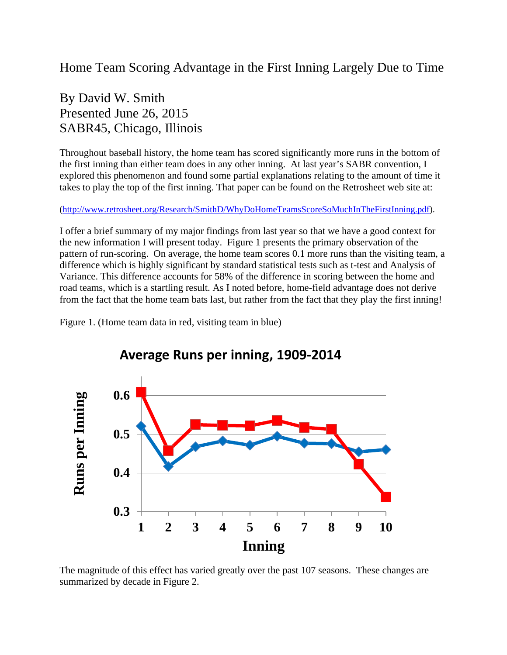## Home Team Scoring Advantage in the First Inning Largely Due to Time

## By David W. Smith Presented June 26, 2015 SABR45, Chicago, Illinois

Throughout baseball history, the home team has scored significantly more runs in the bottom of the first inning than either team does in any other inning. At last year's SABR convention, I explored this phenomenon and found some partial explanations relating to the amount of time it takes to play the top of the first inning. That paper can be found on the Retrosheet web site at:

[\(http://www.retrosheet.org/Research/SmithD/WhyDoHomeTeamsScoreSoMuchInTheFirstInning.pdf\)](http://www.retrosheet.org/Research/SmithD/WhyDoHomeTeamsScoreSoMuchInTheFirstInning.pdf).

I offer a brief summary of my major findings from last year so that we have a good context for the new information I will present today. Figure 1 presents the primary observation of the pattern of run-scoring. On average, the home team scores 0.1 more runs than the visiting team, a difference which is highly significant by standard statistical tests such as t-test and Analysis of Variance. This difference accounts for 58% of the difference in scoring between the home and road teams, which is a startling result. As I noted before, home-field advantage does not derive from the fact that the home team bats last, but rather from the fact that they play the first inning!

Figure 1. (Home team data in red, visiting team in blue)



## **Average Runs per inning, 1909-2014**

The magnitude of this effect has varied greatly over the past 107 seasons. These changes are summarized by decade in Figure 2.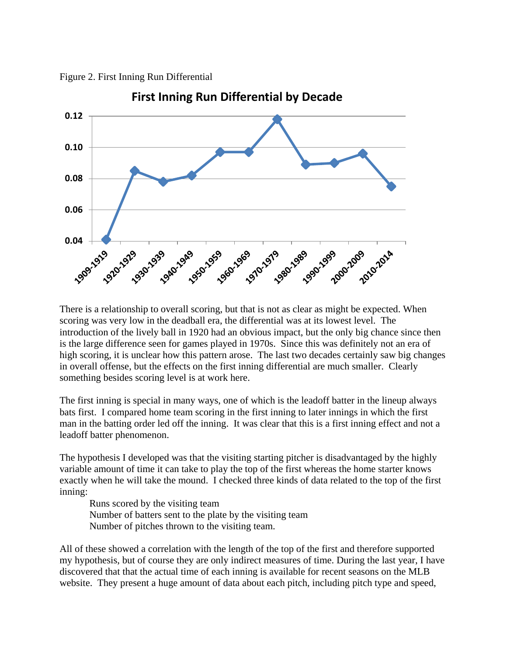Figure 2. First Inning Run Differential



There is a relationship to overall scoring, but that is not as clear as might be expected. When scoring was very low in the deadball era, the differential was at its lowest level. The introduction of the lively ball in 1920 had an obvious impact, but the only big chance since then is the large difference seen for games played in 1970s. Since this was definitely not an era of high scoring, it is unclear how this pattern arose. The last two decades certainly saw big changes in overall offense, but the effects on the first inning differential are much smaller. Clearly something besides scoring level is at work here.

The first inning is special in many ways, one of which is the leadoff batter in the lineup always bats first. I compared home team scoring in the first inning to later innings in which the first man in the batting order led off the inning. It was clear that this is a first inning effect and not a leadoff batter phenomenon.

The hypothesis I developed was that the visiting starting pitcher is disadvantaged by the highly variable amount of time it can take to play the top of the first whereas the home starter knows exactly when he will take the mound. I checked three kinds of data related to the top of the first inning:

Runs scored by the visiting team Number of batters sent to the plate by the visiting team Number of pitches thrown to the visiting team.

All of these showed a correlation with the length of the top of the first and therefore supported my hypothesis, but of course they are only indirect measures of time. During the last year, I have discovered that that the actual time of each inning is available for recent seasons on the MLB website. They present a huge amount of data about each pitch, including pitch type and speed,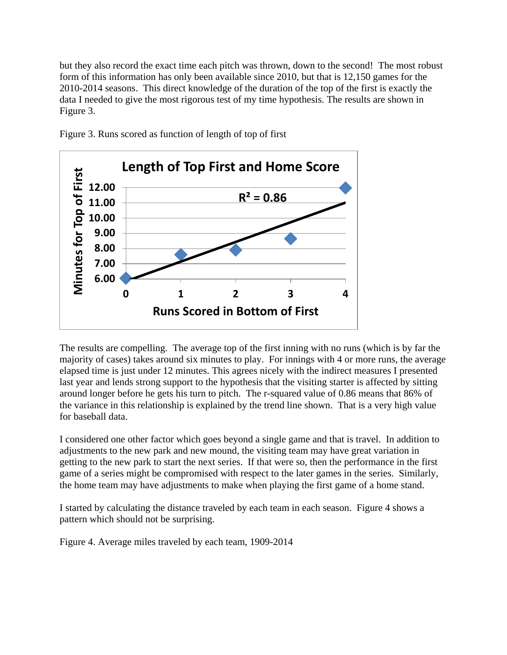but they also record the exact time each pitch was thrown, down to the second! The most robust form of this information has only been available since 2010, but that is 12,150 games for the 2010-2014 seasons. This direct knowledge of the duration of the top of the first is exactly the data I needed to give the most rigorous test of my time hypothesis. The results are shown in Figure 3.



Figure 3. Runs scored as function of length of top of first

The results are compelling. The average top of the first inning with no runs (which is by far the majority of cases) takes around six minutes to play. For innings with 4 or more runs, the average elapsed time is just under 12 minutes. This agrees nicely with the indirect measures I presented last year and lends strong support to the hypothesis that the visiting starter is affected by sitting around longer before he gets his turn to pitch. The r-squared value of 0.86 means that 86% of the variance in this relationship is explained by the trend line shown. That is a very high value for baseball data.

I considered one other factor which goes beyond a single game and that is travel. In addition to adjustments to the new park and new mound, the visiting team may have great variation in getting to the new park to start the next series. If that were so, then the performance in the first game of a series might be compromised with respect to the later games in the series. Similarly, the home team may have adjustments to make when playing the first game of a home stand.

I started by calculating the distance traveled by each team in each season. Figure 4 shows a pattern which should not be surprising.

Figure 4. Average miles traveled by each team, 1909-2014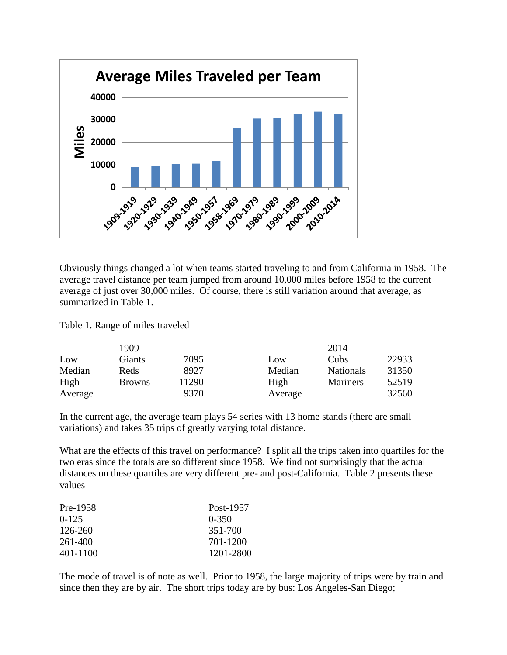

Obviously things changed a lot when teams started traveling to and from California in 1958. The average travel distance per team jumped from around 10,000 miles before 1958 to the current average of just over 30,000 miles. Of course, there is still variation around that average, as summarized in Table 1.

Table 1. Range of miles traveled

|         | 1909          |       |         | 2014             |       |
|---------|---------------|-------|---------|------------------|-------|
| Low     | Giants        | 7095  | Low     | Cubs             | 22933 |
| Median  | Reds          | 8927  | Median  | <b>Nationals</b> | 31350 |
| High    | <b>Browns</b> | 11290 | High    | <b>Mariners</b>  | 52519 |
| Average |               | 9370  | Average |                  | 32560 |

In the current age, the average team plays 54 series with 13 home stands (there are small variations) and takes 35 trips of greatly varying total distance.

What are the effects of this travel on performance? I split all the trips taken into quartiles for the two eras since the totals are so different since 1958. We find not surprisingly that the actual distances on these quartiles are very different pre- and post-California. Table 2 presents these values

| Pre-1958  | Post-1957 |
|-----------|-----------|
| $0 - 125$ | $0 - 350$ |
| 126-260   | 351-700   |
| 261-400   | 701-1200  |
| 401-1100  | 1201-2800 |

The mode of travel is of note as well. Prior to 1958, the large majority of trips were by train and since then they are by air. The short trips today are by bus: Los Angeles-San Diego;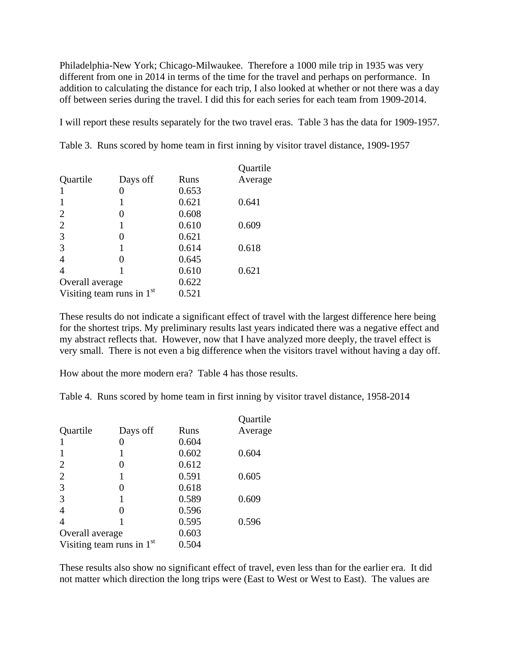Philadelphia-New York; Chicago-Milwaukee. Therefore a 1000 mile trip in 1935 was very different from one in 2014 in terms of the time for the travel and perhaps on performance. In addition to calculating the distance for each trip, I also looked at whether or not there was a day off between series during the travel. I did this for each series for each team from 1909-2014.

I will report these results separately for the two travel eras. Table 3 has the data for 1909-1957.

|                 |                             |       | Quartile |
|-----------------|-----------------------------|-------|----------|
| Quartile        | Days off                    | Runs  | Average  |
|                 |                             | 0.653 |          |
|                 |                             | 0.621 | 0.641    |
| $\overline{2}$  |                             | 0.608 |          |
| $\overline{2}$  | 1                           | 0.610 | 0.609    |
| 3               | 0                           | 0.621 |          |
| 3               |                             | 0.614 | 0.618    |
| $\overline{4}$  | 0                           | 0.645 |          |
| $\overline{4}$  |                             | 0.610 | 0.621    |
| Overall average |                             | 0.622 |          |
|                 | Visiting team runs in $1st$ | 0.521 |          |
|                 |                             |       |          |

Table 3. Runs scored by home team in first inning by visitor travel distance, 1909-1957

These results do not indicate a significant effect of travel with the largest difference here being for the shortest trips. My preliminary results last years indicated there was a negative effect and my abstract reflects that. However, now that I have analyzed more deeply, the travel effect is very small. There is not even a big difference when the visitors travel without having a day off.

How about the more modern era? Table 4 has those results.

Table 4. Runs scored by home team in first inning by visitor travel distance, 1958-2014

|                 |                             |       | Quartile |
|-----------------|-----------------------------|-------|----------|
| Quartile        | Days off                    | Runs  | Average  |
|                 |                             | 0.604 |          |
|                 |                             | 0.602 | 0.604    |
| 2               |                             | 0.612 |          |
| $\overline{2}$  |                             | 0.591 | 0.605    |
| 3               | 0                           | 0.618 |          |
| 3               |                             | 0.589 | 0.609    |
| 4               |                             | 0.596 |          |
| 4               |                             | 0.595 | 0.596    |
| Overall average |                             | 0.603 |          |
|                 | Visiting team runs in $1st$ | 0.504 |          |

These results also show no significant effect of travel, even less than for the earlier era. It did not matter which direction the long trips were (East to West or West to East). The values are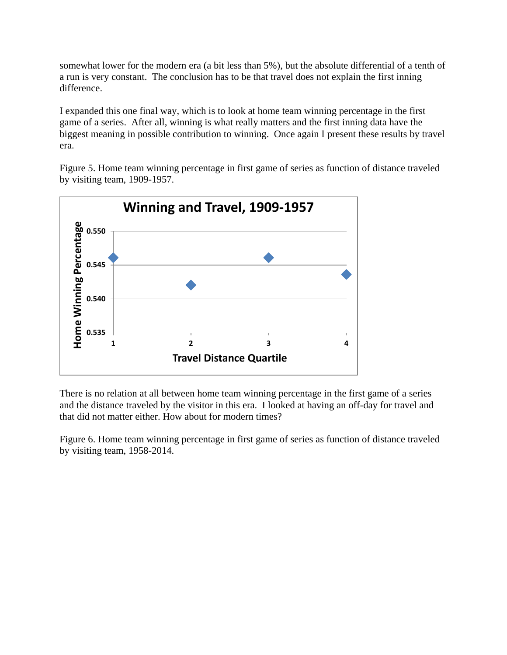somewhat lower for the modern era (a bit less than 5%), but the absolute differential of a tenth of a run is very constant. The conclusion has to be that travel does not explain the first inning difference.

I expanded this one final way, which is to look at home team winning percentage in the first game of a series. After all, winning is what really matters and the first inning data have the biggest meaning in possible contribution to winning. Once again I present these results by travel era.

Figure 5. Home team winning percentage in first game of series as function of distance traveled by visiting team, 1909-1957.



There is no relation at all between home team winning percentage in the first game of a series and the distance traveled by the visitor in this era. I looked at having an off-day for travel and that did not matter either. How about for modern times?

Figure 6. Home team winning percentage in first game of series as function of distance traveled by visiting team, 1958-2014.